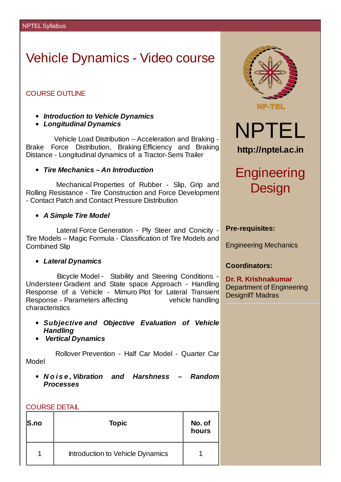# Vehicle Dynamics - Video course

### COURSE OUTLINE

- *Introduction to Vehicle Dynamics*
- *Longitudinal Dynamics*

Vehicle Load Distribution – Acceleration and Braking - Brake Force Distribution, Braking Efficiency and Braking Distance - Longitudinal dynamics of a Tractor-Semi Trailer

### *Tire Mechanics – An Introduction*

Mechanical Properties of Rubber - Slip, Grip and Rolling Resistance - Tire Construction and Force Development - Contact Patch and Contact Pressure Distribution

*A Simple Tire Model*

Lateral Force Generation - Ply Steer and Conicity - Tire Models – Magic Formula - Classification of Tire Models and Combined Slip

### *Lateral Dynamics*

Bicycle Model - Stability and Steering Conditions - Understeer Gradient and State space Approach - Handling Response of a Vehicle - Mimuro Plot for Lateral Transient Response - Parameters affecting vehicle handling characteristics

- *Subjective and Objective Evaluation of Vehicle Handling*
- *Vertical Dynamics*

Rollover Prevention - Half Car Model - Quarter Car Model

*N o i s e , Vibration and Harshness – Random Processes*

| ı | --<br>. .<br>۰. | -- | II |
|---|-----------------|----|----|
|   |                 |    |    |

| $\mathsf{S}.\mathsf{no}$ | <b>Topic</b>                     | No. of<br>hours |
|--------------------------|----------------------------------|-----------------|
|                          | Introduction to Vehicle Dynamics |                 |





# **Engineering Design**

#### **Pre-requisites:**

Engineering Mechanics

### **Coordinators:**

**Dr. R. Krishnakumar** Department of Engineering DesignIIT Madras